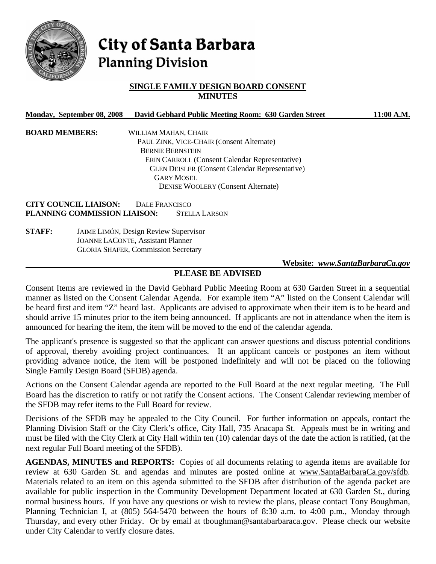

# City of Santa Barbara **Planning Division**

### **SINGLE FAMILY DESIGN BOARD CONSENT MINUTES**

| Monday, September 08, 2008   | David Gebhard Public Meeting Room: 630 Garden Street                                                 | 11:00 A.M. |
|------------------------------|------------------------------------------------------------------------------------------------------|------------|
| <b>BOARD MEMBERS:</b>        | WILLIAM MAHAN, CHAIR                                                                                 |            |
|                              | PAUL ZINK, VICE-CHAIR (Consent Alternate)                                                            |            |
|                              | <b>BERNIE BERNSTEIN</b>                                                                              |            |
|                              | <b>ERIN CARROLL (Consent Calendar Representative)</b>                                                |            |
|                              | <b>GLEN DEISLER (Consent Calendar Representative)</b>                                                |            |
|                              | <b>GARY MOSEL</b>                                                                                    |            |
|                              | <b>DENISE WOOLERY (Consent Alternate)</b>                                                            |            |
| <b>CITY COUNCIL LIAISON:</b> | DALE FRANCISCO                                                                                       |            |
| PLANNING COMMISSION LIAISON: | <b>STELLA LARSON</b>                                                                                 |            |
| <b>STAFF:</b>                | <b>JAIME LIMÓN, Design Review Supervisor</b>                                                         |            |
|                              | $\mathbf{I}$ $\cdots$ $\mathbf{I}$ $\cdots$ $\mathbf{O}$ $\cdots$ $\mathbf{I}$ $\cdots$ $\mathbf{I}$ |            |

 JOANNE LACONTE, Assistant Planner GLORIA SHAFER, Commission Secretary

#### **Website:** *www.SantaBarbaraCa.gov*

### **PLEASE BE ADVISED**

Consent Items are reviewed in the David Gebhard Public Meeting Room at 630 Garden Street in a sequential manner as listed on the Consent Calendar Agenda. For example item "A" listed on the Consent Calendar will be heard first and item "Z" heard last. Applicants are advised to approximate when their item is to be heard and should arrive 15 minutes prior to the item being announced. If applicants are not in attendance when the item is announced for hearing the item, the item will be moved to the end of the calendar agenda.

The applicant's presence is suggested so that the applicant can answer questions and discuss potential conditions of approval, thereby avoiding project continuances. If an applicant cancels or postpones an item without providing advance notice, the item will be postponed indefinitely and will not be placed on the following Single Family Design Board (SFDB) agenda.

Actions on the Consent Calendar agenda are reported to the Full Board at the next regular meeting. The Full Board has the discretion to ratify or not ratify the Consent actions. The Consent Calendar reviewing member of the SFDB may refer items to the Full Board for review.

Decisions of the SFDB may be appealed to the City Council. For further information on appeals, contact the Planning Division Staff or the City Clerk's office, City Hall, 735 Anacapa St. Appeals must be in writing and must be filed with the City Clerk at City Hall within ten (10) calendar days of the date the action is ratified, (at the next regular Full Board meeting of the SFDB).

AGENDAS, MINUTES and REPORTS: Copies of all documents relating to agenda items are available for review at 630 Garden St. and agendas and minutes are posted online at www.SantaBarbaraCa.gov/sfdb. Materials related to an item on this agenda submitted to the SFDB after distribution of the agenda packet are available for public inspection in the Community Development Department located at 630 Garden St., during normal business hours. If you have any questions or wish to review the plans, please contact Tony Boughman, Planning Technician I, at (805) 564-5470 between the hours of 8:30 a.m. to 4:00 p.m., Monday through Thursday, and every other Friday. Or by email at thoughman@santabarbaraca.gov. Please check our website under City Calendar to verify closure dates.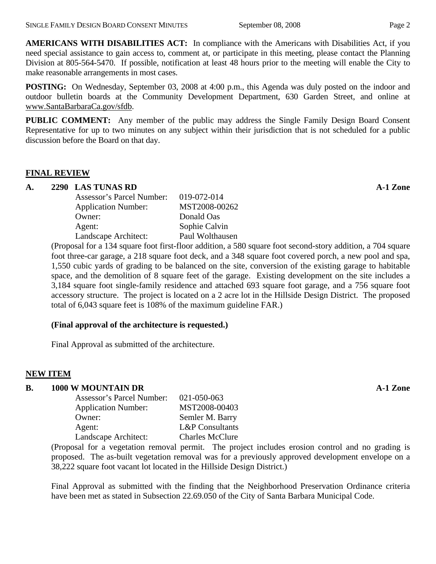**AMERICANS WITH DISABILITIES ACT:** In compliance with the Americans with Disabilities Act, if you need special assistance to gain access to, comment at, or participate in this meeting, please contact the Planning Division at 805-564-5470. If possible, notification at least 48 hours prior to the meeting will enable the City to make reasonable arrangements in most cases.

**POSTING:** On Wednesday, September 03, 2008 at 4:00 p.m., this Agenda was duly posted on the indoor and outdoor bulletin boards at the Community Development Department, 630 Garden Street, and online at www.SantaBarbaraCa.gov/sfdb.

**PUBLIC COMMENT:** Any member of the public may address the Single Family Design Board Consent Representative for up to two minutes on any subject within their jurisdiction that is not scheduled for a public discussion before the Board on that day.

#### **FINAL REVIEW**

## A. 2290 LAS TUNAS RD **A-1 Zone**

| Assessor's Parcel Number:  | 019-072-014     |
|----------------------------|-----------------|
| <b>Application Number:</b> | MST2008-00262   |
| Owner:                     | Donald Oas      |
| Agent:                     | Sophie Calvin   |
| Landscape Architect:       | Paul Wolthausen |

(Proposal for a 134 square foot first-floor addition, a 580 square foot second-story addition, a 704 square foot three-car garage, a 218 square foot deck, and a 348 square foot covered porch, a new pool and spa, 1,550 cubic yards of grading to be balanced on the site, conversion of the existing garage to habitable space, and the demolition of 8 square feet of the garage. Existing development on the site includes a 3,184 square foot single-family residence and attached 693 square foot garage, and a 756 square foot accessory structure. The project is located on a 2 acre lot in the Hillside Design District. The proposed total of 6,043 square feet is 108% of the maximum guideline FAR.)

### **(Final approval of the architecture is requested.)**

Final Approval as submitted of the architecture.

### **NEW ITEM**

### **B. 1000 W MOUNTAIN DR A-1 Zone**

| Assessor's Parcel Number:  | 021-050-063                |
|----------------------------|----------------------------|
| <b>Application Number:</b> | MST2008-00403              |
| Owner:                     | Semler M. Barry            |
| Agent:                     | <b>L&amp;P</b> Consultants |
| Landscape Architect:       | <b>Charles McClure</b>     |
|                            |                            |

(Proposal for a vegetation removal permit. The project includes erosion control and no grading is proposed. The as-built vegetation removal was for a previously approved development envelope on a 38,222 square foot vacant lot located in the Hillside Design District.)

Final Approval as submitted with the finding that the Neighborhood Preservation Ordinance criteria have been met as stated in Subsection 22.69.050 of the City of Santa Barbara Municipal Code.